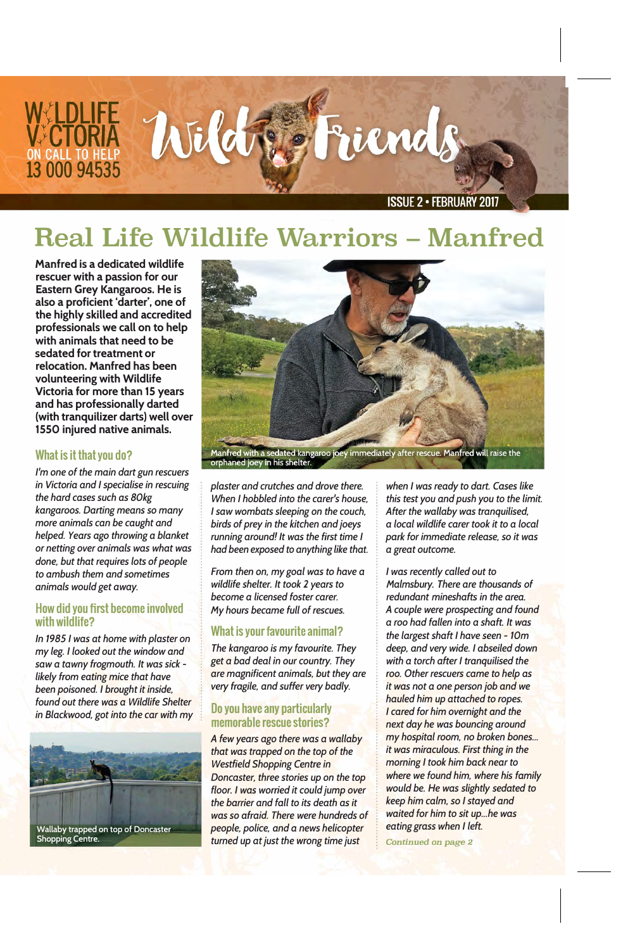

# **Real Life Wildlife Warriors - Manfred**

**Manfred is a dedicated wildlife rescuer with a passion for our Eastern Grey Kangaroos. He is also a proficient 'darter', one of the highly skilled and accredited professionals we call on to help with animals that need to be sedated for treatment or relocation. Manfred has been volunteering with Wildlife Victoria for more than 15 years and has professionally darted (with tranquilizer darts) well over 1550 injured native animals.** 

### **What is it that you do?**

*I'm one of the main dart gun rescuers in Victoria and I specialise in rescuing the hard cases such as 80kg kangaroos. Darting means so many more animals can be caught and helped. Years ago throwing a blanket or netting over animals was what was done, but that requires lots of people to ambush them and sometimes animals would get away.* 

#### **How did you first become involved with wildlife?**

*In 1985 I was at home with plaster on my leg. I looked out the window and saw a tawny frogmouth. It was sick likely from eating mice that have been poisoned. I brought it inside, found out there was a Wildlife Shelter in Blackwood, got into the car with my* 



**Shopping Centre.** 



Manfred with a sedated kangaroo joey immediately after rescue. Manfred will raise the orphaned joey in his shelter.

*plaster and crutches and drove there. When I hobbled into the carer's house, I saw wombats sleeping on the couch, birds of prey in the kitchen and joeys running around! It was the first time I had been exposed to anything like that.* 

*From then on, my goal was to have a wildlife shelter. It took 2 years to become a licensed foster carer. My hours became full of rescues.* 

## **What is your favourite animal?**

*The kangaroo is my favourite. They get a bad deal in our country. They are magnificent animals, but they are very fragile, and suffer very badly.* 

### **Do you have any particularly memorable rescue stories?**

*A few years ago there was a wallaby that was trapped on the top of the Westfield Shopping Centre in Doncaster, three stories up on the top floor. I was worried it could jump over the barrier and fall to its death as it was so afraid. There were hundreds of people, police, and a news helicopter turned up at just the wrong time just* 

*when I was ready to dart. Cases like this test you and push you to the limit. After the wallaby was tranquilised, a local wildlife carer took it to a local park for immediate release, so it was a great outcome.* 

*I was recently called out to Malmsbury. There are thousands of redundant mineshafts in the area. A couple were prospecting and found a roo had fallen into a shaft. It was the largest shaft I have seen* - *10m deep, and very wide. I abseiled down with a torch after I tranquilised the roo. Other rescuers came to help as it was not a one person job and we hauled him up attached to ropes. I cared for him overnight and the next day he was bouncing around my hospital room, no broken bones ... it was miraculous. First thing in the morning I took him back near to where we found him, where his family would be. He was slightly sedated to keep him calm, so I stayed and waited for him to sit up ... he was eating grass when I left.* 

*Continued* **on** *page* 2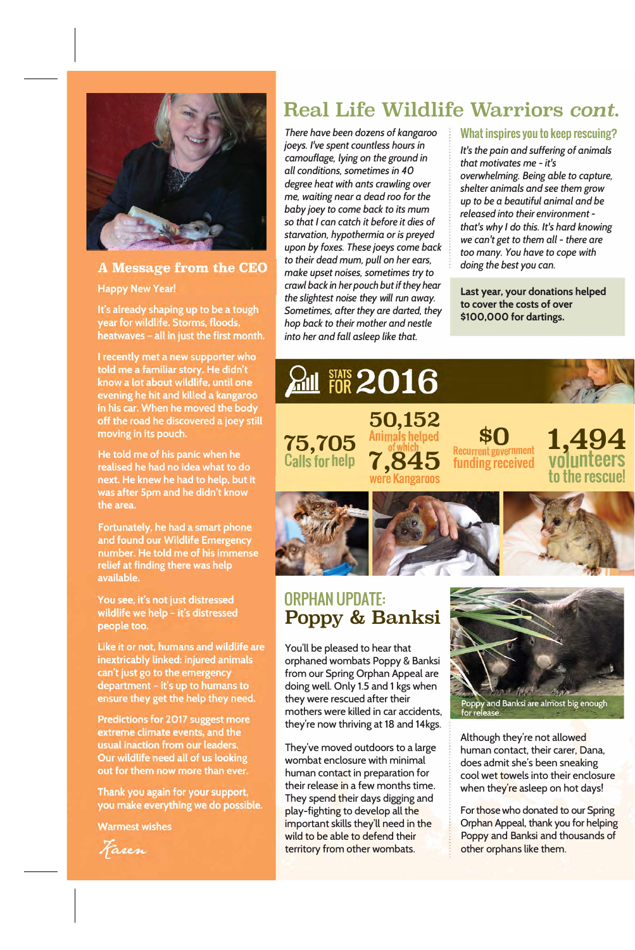

### **A Message from the CEO**

**Happy New Year!** 

It's already shaping up to be a tough year for wildlife. Storms, floods, heatwaves - all in just the first month.

I recently met a new supporter who told me a familiar story. He didn't know a lot about wildlife, until one evening he hit and killed a kangaroo in his car. When he moved the body off the road he discovered a joey still moving in its pouch.

**He told me of his panic when he** realised he had no idea what to do next. He knew he had to help, but it **was after 5pm and he didn't know** the area.

Fortunately, he had a smart phone and found our Wildlife Emergency number. He told me of his immense relief at finding there was help **available.** 

You see, it's not just distressed wildlife we help - it's distressed people too.

Like it or not, humans and wildlife are inextricably linked: injured animals can't just go to the emergency department - it's up to humans to ensure they get the help they need.

Predictions for 2017 suggest more extreme climate events, and the usual inaction from our leaders. Our wildlife need all of us looking out for them now more than ever.

Thank you again for your support, you make everything we do possible.

**Warmest wishes** 

Fasen

# **Real Life Wildlife Warriors** *cont.*

*There have been dozens of kangaroo joeys. I've spent countless hours in camouflage, lying on the ground in all conditions, sometimes in 40 degree heat with ants crawling over*  me, *waiting near a dead roo for the baby joey to come back to its* mum so *that I can catch it before it dies of starvation, hypothermia or is preyed upon by foxes. These joeys come back to their dead* mum, *pull on her ears, make upset noises, sometimes try to crawl back in her pouch but if they hear the slightest noise they will run away. Sometimes, after they are darted, they hop back to their mother and nestle into her and fall asleep like that.* 

 $\frac{2.01}{1000}$  FOR 2016

**50,152**  Animals helped

#### What inspires you to keep rescuing?

*It's the pain and suffering of animals that motivates* me - *it's overwhelming. Being able to capture, shelter animals and see them grow up to be a beautiful animal and be released into their environment that's why I do this. It's hard knowing we can't get to them all* - *there are too many. You have to cope with doing the best you can.* 

**Last year, your donations helped to cover the costs of over \$100,000 for dartings.** 

**1,49** 

**nteers** 

**to the rescue!** 

**\$0**<br>Recurrent government

funding received



# ORPHAN UPDATE: **Poppy & Banksi**

You'll be pleased to hear that orphaned wombats Poppy & Banksi from our Spring Orphan Appeal are doing well. Only 1.5 and 1 kgs when they were rescued after their mothers were killed in car accidents, they're now thriving at 18 and 14kgs.

They've moved outdoors to a large wombat enclosure with minimal human contact in preparation for their release in a few months time. They spend their days digging and play-fighting to develop all the important skills they'll need in the wild to be able to defend their territory from other wombats.



Although they're not allowed human contact, their carer, Dana, does admit she's been sneaking cool wet towels into their enclosure when they're asleep on hot days!

For those who donated to our Spring Orphan Appeal, thank you for helping Poppy and Banksi and thousands of other orphans like them.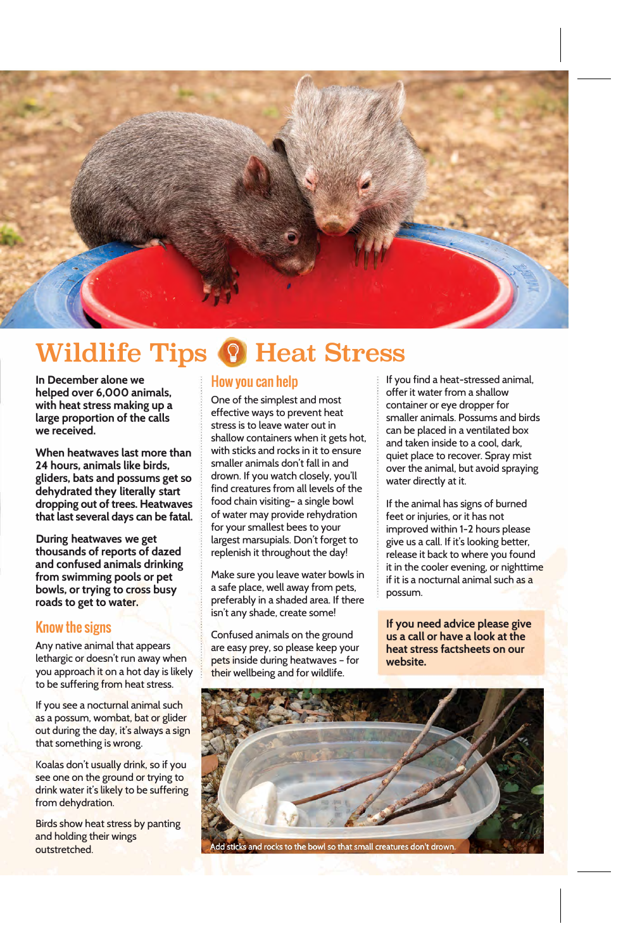

# **Wildlife Tips & Heat Stress**

**In December alone we helped over 6,000 animals, with heat stress making up a large proportion of the calls we received.** 

**When heatwaves last more than 24 hours, animals like birds, gliders, bats and possums get so dehydrated they literally start dropping out of trees. Heatwaves that last several days can be fatal.** 

**During heatwaves we get thousands of reports of dazed and confused animals drinking from swimming pools or pet bowls, or trying to cross busy roads to get to water.** 

## **Know the signs**

Any native animal that appears lethargic or doesn't run away when you approach it on a hot day is likely to be suffering from heat stress.

If you see a nocturnal animal such as a possum, wombat, bat or glider out during the day, it's always a sign that something is wrong.

Koalas don't usually drink, so if you see one on the ground or trying to drink water it's likely to be suffering from dehydration.

Birds show heat stress by panting and holding their wings outstretched.

## **How you can help**

One of the simplest and most effective ways to prevent heat stress is to leave water out in shallow containers when it gets hot, with sticks and rocks in it to ensure smaller animals don't fall in and drown. If you watch closely, you'll find creatures from all levels of the food chain visiting- a single bowl of water may provide rehydration for your smallest bees to your largest marsupials. Don't forget to replenish it throughout the day!

Make sure you leave water bowls in a safe place, well away from pets, preferably in a shaded area. If there isn't any shade, create some!

Confused animals on the ground are easy prey, so please keep your pets inside during heatwaves - for their wellbeing and for wildlife.

If you find a heat-stressed animal, offer it water from a shallow container or eye dropper for smaller animals. Possums and birds can be placed in a ventilated box and taken inside to a cool, dark, quiet place to recover. Spray mist over the animal, but avoid spraying water directly at it.

If the animal has signs of burned feet or injuries, or it has not improved within 1-2 hours please give us a call. If it's looking better, release it back to where you found it in the cooler evening, or nighttime if it is a nocturnal animal such as a possum.

**If you need advice please give us a call or have a look at the heat stress factsheets on our website.**